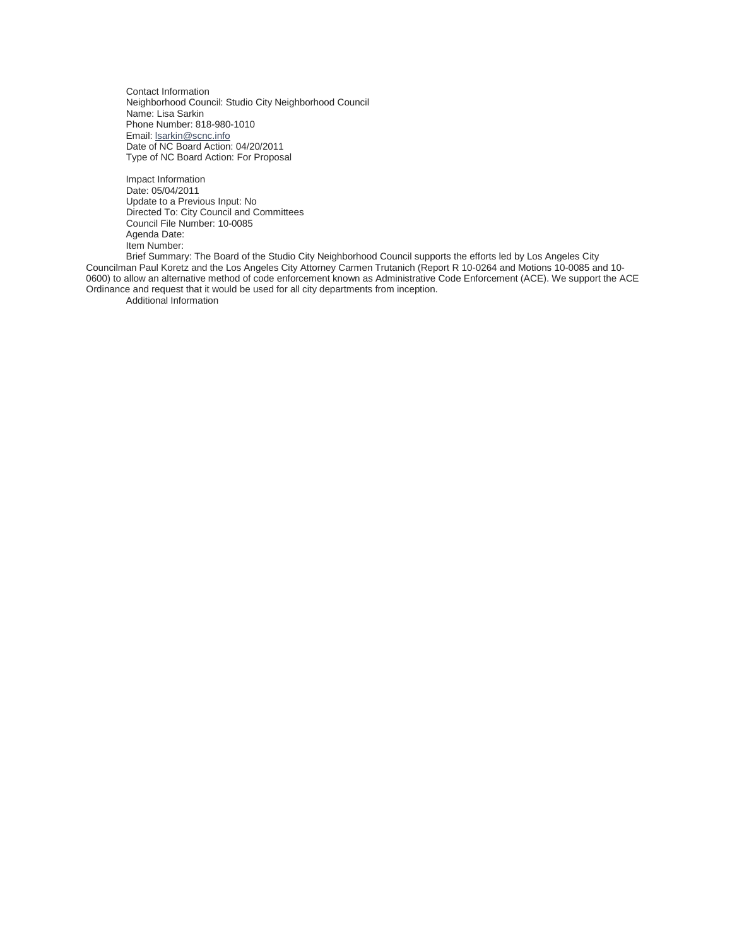Contact Information Neighborhood Council: Studio City Neighborhood Council Name: Lisa Sarkin Phone Number: 818-980-1010 Email: [lsarkin@scnc.info](mailto:lsarkin@scnc.info) Date of NC Board Action: 04/20/2011 Type of NC Board Action: For Proposal

Impact Information Date: 05/04/2011 Update to a Previous Input: No Directed To: City Council and Committees Council File Number: 10-0085 Agenda Date: Item Number:

Brief Summary: The Board of the Studio City Neighborhood Council supports the efforts led by Los Angeles City Councilman Paul Koretz and the Los Angeles City Attorney Carmen Trutanich (Report R 10-0264 and Motions 10-0085 and 10- 0600) to allow an alternative method of code enforcement known as Administrative Code Enforcement (ACE). We support the ACE Ordinance and request that it would be used for all city departments from inception.

Additional Information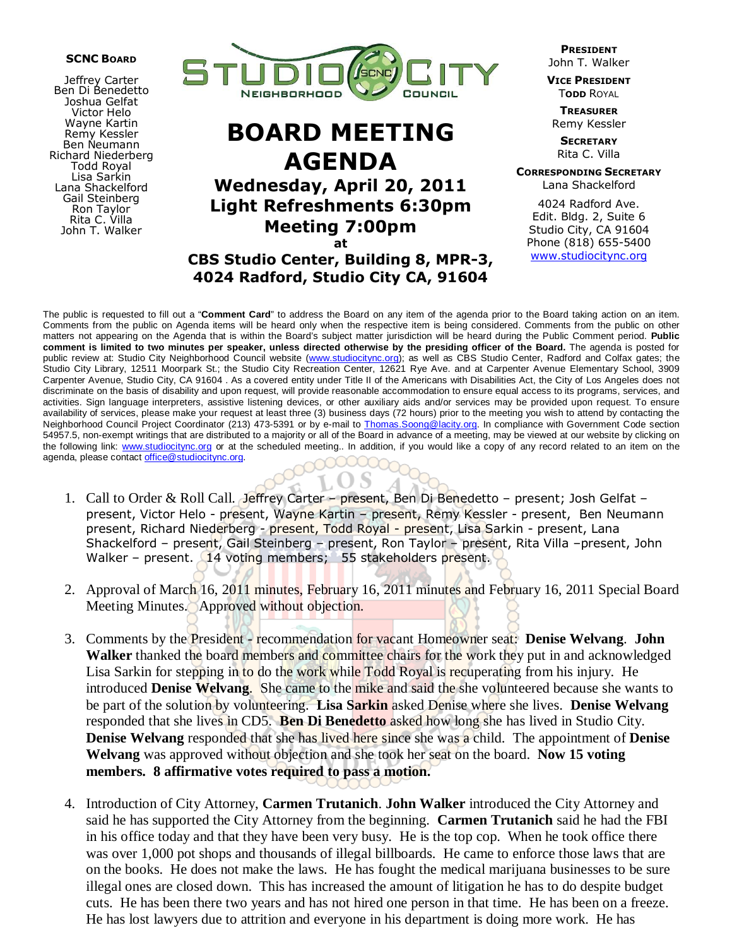#### SCNC BOARD

Jeffrey Carter Ben Di Benedetto Joshua Gelfat Victor Helo Wayne Kartin Remy Kessler Ben Neumann Richard Niederberg Todd Royal Lisa Sarkin Lana Shackelford Gail Steinberg Ron Taylor Rita C. Villa John T. Walker



# BOARD MEETING AGENDA

Wednesday, April 20, 2011 Light Refreshments 6:30pm Meeting 7:00pm

at CBS Studio Center, Building 8, MPR-3, 4024 Radford, Studio City CA, 91604

PRESIDENT John T. Walker

VICE PRESIDENT **TODD ROYAL** 

**TREASURER** Remy Kessler

**SECRETARY** Rita C. Villa

CORRESPONDING SECRETARY Lana Shackelford

4024 Radford Ave. Edit. Bldg. 2, Suite 6 Studio City, CA 91604 Phone (818) 655-5400 www.studiocitync.org

The public is requested to fill out a "**Comment Card**" to address the Board on any item of the agenda prior to the Board taking action on an item. Comments from the public on Agenda items will be heard only when the respective item is being considered. Comments from the public on other matters not appearing on the Agenda that is within the Board's subject matter jurisdiction will be heard during the Public Comment period. **Public comment is limited to two minutes per speaker, unless directed otherwise by the presiding officer of the Board.** The agenda is posted for public review at: Studio City Neighborhood Council website (www.studiocitync.org); as well as CBS Studio Center, Radford and Colfax gates; the Studio City Library, 12511 Moorpark St.; the Studio City Recreation Center, 12621 Rye Ave. and at Carpenter Avenue Elementary School, 3909 Carpenter Avenue, Studio City, CA 91604 . As a covered entity under Title II of the Americans with Disabilities Act, the City of Los Angeles does not discriminate on the basis of disability and upon request, will provide reasonable accommodation to ensure equal access to its programs, services, and activities. Sign language interpreters, assistive listening devices, or other auxiliary aids and/or services may be provided upon request. To ensure availability of services, please make your request at least three (3) business days (72 hours) prior to the meeting you wish to attend by contacting the Neighborhood Council Project Coordinator (213) 473-5391 or by e-mail to Thomas.Soong@lacity.org. In compliance with Government Code section 54957.5, non-exempt writings that are distributed to a majority or all of the Board in advance of a meeting, may be viewed at our website by clicking on the following link: www.studiocitync.org or at the scheduled meeting.. In addition, if you would like a copy of any record related to an item on the agenda, please contact office@studiocitync.org.

- 1. Call to Order & Roll Call. Jeffrey Carter present, Ben Di Benedetto present; Josh Gelfat present, Victor Helo - present, Wayne Kartin – present, Remy Kessler - present, Ben Neumann present, Richard Niederberg - present, Todd Royal - present, Lisa Sarkin - present, Lana Shackelford – present, Gail Steinberg – present, Ron Taylor – present, Rita Villa – present, John Walker – present. 14 voting members; 55 stakeholders present.
- 2. Approval of March 16, 2011 minutes, February 16, 2011 minutes and February 16, 2011 Special Board Meeting Minutes. Approved without objection.
- 3. Comments by the President recommendation for vacant Homeowner seat: **Denise Welvang**. **John Walker** thanked the board members and committee chairs for the work they put in and acknowledged Lisa Sarkin for stepping in to do the work while Todd Royal is recuperating from his injury. He introduced **Denise Welvang**. She came to the mike and said the she volunteered because she wants to be part of the solution by volunteering. **Lisa Sarkin** asked Denise where she lives. **Denise Welvang** responded that she lives in CD5. **Ben Di Benedetto** asked how long she has lived in Studio City. **Denise Welvang** responded that she has lived here since she was a child. The appointment of **Denise Welvang** was approved without objection and she took her seat on the board. **Now 15 voting members. 8 affirmative votes required to pass a motion.**
- 4. Introduction of City Attorney, **Carmen Trutanich**. **John Walker** introduced the City Attorney and said he has supported the City Attorney from the beginning. **Carmen Trutanich** said he had the FBI in his office today and that they have been very busy. He is the top cop. When he took office there was over 1,000 pot shops and thousands of illegal billboards. He came to enforce those laws that are on the books. He does not make the laws. He has fought the medical marijuana businesses to be sure illegal ones are closed down. This has increased the amount of litigation he has to do despite budget cuts. He has been there two years and has not hired one person in that time. He has been on a freeze. He has lost lawyers due to attrition and everyone in his department is doing more work. He has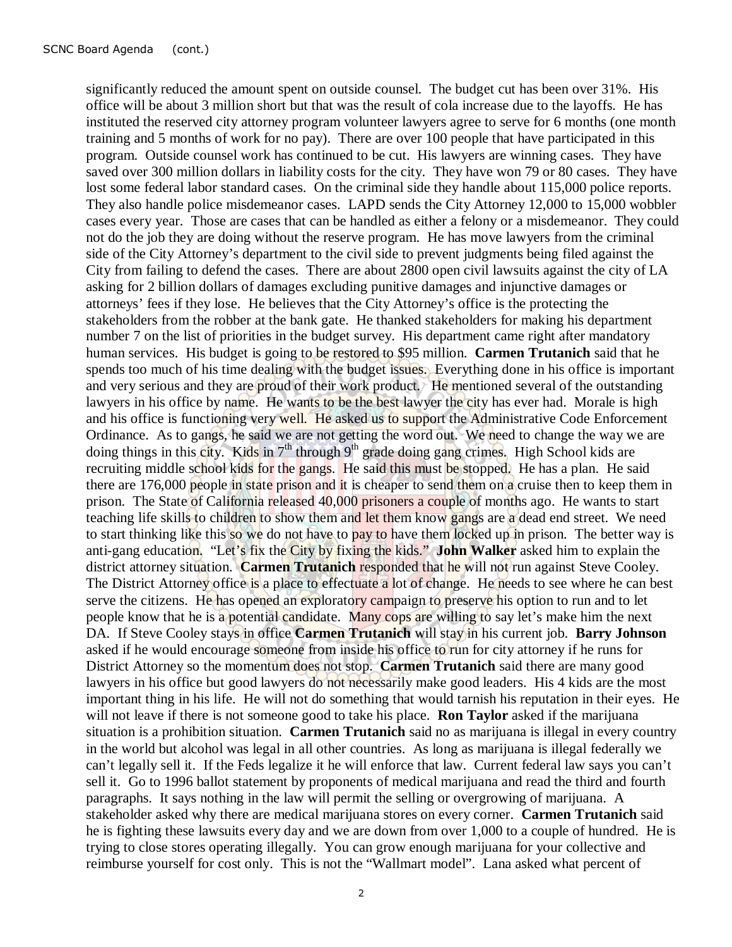significantly reduced the amount spent on outside counsel. The budget cut has been over 31%. His office will be about 3 million short but that was the result of cola increase due to the layoffs. He has instituted the reserved city attorney program volunteer lawyers agree to serve for 6 months (one month training and 5 months of work for no pay). There are over 100 people that have participated in this program. Outside counsel work has continued to be cut. His lawyers are winning cases. They have saved over 300 million dollars in liability costs for the city. They have won 79 or 80 cases. They have lost some federal labor standard cases. On the criminal side they handle about 115,000 police reports. They also handle police misdemeanor cases. LAPD sends the City Attorney 12,000 to 15,000 wobbler cases every year. Those are cases that can be handled as either a felony or a misdemeanor. They could not do the job they are doing without the reserve program. He has move lawyers from the criminal side of the City Attorney's department to the civil side to prevent judgments being filed against the City from failing to defend the cases. There are about 2800 open civil lawsuits against the city of LA asking for 2 billion dollars of damages excluding punitive damages and injunctive damages or attorneys' fees if they lose. He believes that the City Attorney's office is the protecting the stakeholders from the robber at the bank gate. He thanked stakeholders for making his department number 7 on the list of priorities in the budget survey. His department came right after mandatory human services. His budget is going to be restored to \$95 million. **Carmen Trutanich** said that he spends too much of his time dealing with the budget issues. Everything done in his office is important and very serious and they are proud of their work product. He mentioned several of the outstanding lawyers in his office by name. He wants to be the best lawyer the city has ever had. Morale is high and his office is functioning very well. He asked us to support the Administrative Code Enforcement Ordinance. As to gangs, he said we are not getting the word out. We need to change the way we are doing things in this city. Kids in  $7<sup>th</sup>$  through  $9<sup>th</sup>$  grade doing gang crimes. High School kids are recruiting middle school kids for the gangs. He said this must be stopped. He has a plan. He said there are 176,000 people in state prison and it is cheaper to send them on a cruise then to keep them in prison. The State of California released 40,000 prisoners a couple of months ago. He wants to start teaching life skills to children to show them and let them know gangs are a dead end street. We need to start thinking like this so we do not have to pay to have them locked up in prison. The better way is anti-gang education. "Let's fix the City by fixing the kids." **John Walker** asked him to explain the district attorney situation. **Carmen Trutanich** responded that he will not run against Steve Cooley. The District Attorney office is a place to effectuate a lot of change. He needs to see where he can best serve the citizens. He has opened an exploratory campaign to preserve his option to run and to let people know that he is a potential candidate. Many cops are willing to say let's make him the next DA. If Steve Cooley stays in office **Carmen Trutanich** will stay in his current job. **Barry Johnson** asked if he would encourage someone from inside his office to run for city attorney if he runs for District Attorney so the momentum does not stop. **Carmen Trutanich** said there are many good lawyers in his office but good lawyers do not necessarily make good leaders. His 4 kids are the most important thing in his life. He will not do something that would tarnish his reputation in their eyes. He will not leave if there is not someone good to take his place. **Ron Taylor** asked if the marijuana situation is a prohibition situation. **Carmen Trutanich** said no as marijuana is illegal in every country in the world but alcohol was legal in all other countries. As long as marijuana is illegal federally we can't legally sell it. If the Feds legalize it he will enforce that law. Current federal law says you can't sell it. Go to 1996 ballot statement by proponents of medical marijuana and read the third and fourth paragraphs. It says nothing in the law will permit the selling or overgrowing of marijuana. A stakeholder asked why there are medical marijuana stores on every corner. **Carmen Trutanich** said he is fighting these lawsuits every day and we are down from over 1,000 to a couple of hundred. He is trying to close stores operating illegally. You can grow enough marijuana for your collective and reimburse yourself for cost only. This is not the "Wallmart model". Lana asked what percent of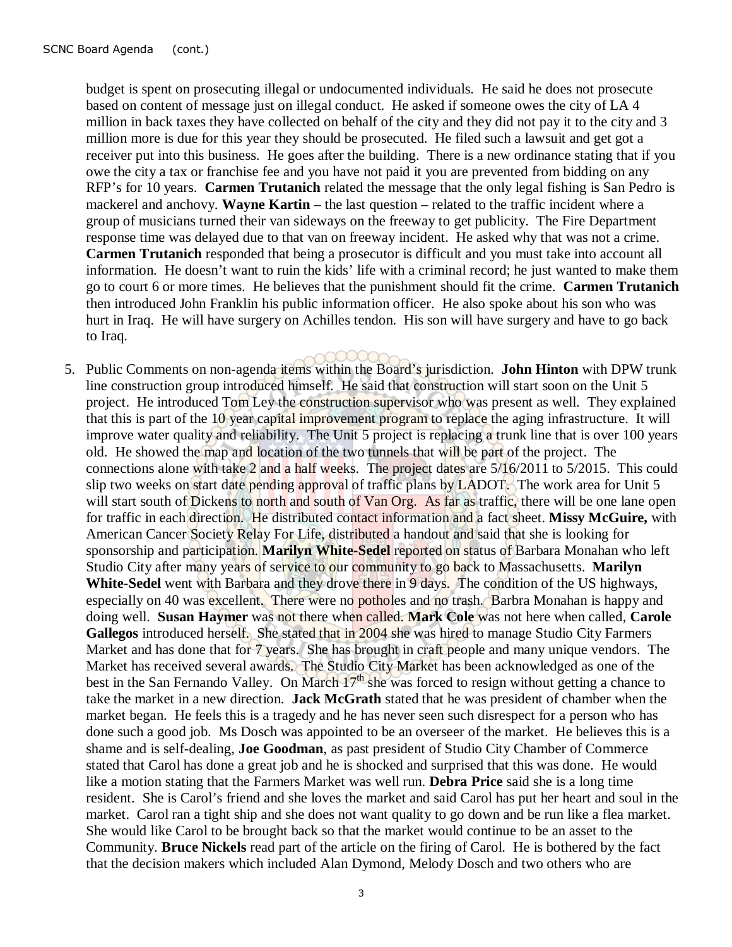budget is spent on prosecuting illegal or undocumented individuals. He said he does not prosecute based on content of message just on illegal conduct. He asked if someone owes the city of LA 4 million in back taxes they have collected on behalf of the city and they did not pay it to the city and 3 million more is due for this year they should be prosecuted. He filed such a lawsuit and get got a receiver put into this business. He goes after the building. There is a new ordinance stating that if you owe the city a tax or franchise fee and you have not paid it you are prevented from bidding on any RFP's for 10 years. **Carmen Trutanich** related the message that the only legal fishing is San Pedro is mackerel and anchovy. **Wayne Kartin** – the last question – related to the traffic incident where a group of musicians turned their van sideways on the freeway to get publicity. The Fire Department response time was delayed due to that van on freeway incident. He asked why that was not a crime. **Carmen Trutanich** responded that being a prosecutor is difficult and you must take into account all information. He doesn't want to ruin the kids' life with a criminal record; he just wanted to make them go to court 6 or more times. He believes that the punishment should fit the crime. **Carmen Trutanich** then introduced John Franklin his public information officer. He also spoke about his son who was hurt in Iraq. He will have surgery on Achilles tendon. His son will have surgery and have to go back to Iraq.

5. Public Comments on non-agenda items within the Board's jurisdiction. **John Hinton** with DPW trunk line construction group introduced himself. He said that construction will start soon on the Unit 5 project. He introduced Tom Ley the construction supervisor who was present as well. They explained that this is part of the 10 year capital improvement program to replace the aging infrastructure. It will improve water quality and reliability. The Unit 5 project is replacing a trunk line that is over 100 years old. He showed the map and location of the two tunnels that will be part of the project. The connections alone with take 2 and a half weeks. The project dates are 5/16/2011 to 5/2015. This could slip two weeks on start date pending approval of traffic plans by LADOT. The work area for Unit 5 will start south of Dickens to north and south of Van Org. As far as traffic, there will be one lane open for traffic in each direction. He distributed contact information and a fact sheet. **Missy McGuire,** with American Cancer Society Relay For Life, distributed a handout and said that she is looking for sponsorship and participation. **Marilyn White-Sedel** reported on status of Barbara Monahan who left Studio City after many years of service to our community to go back to Massachusetts. **Marilyn**  White-Sedel went with Barbara and they drove there in 9 days. The condition of the US highways, especially on 40 was excellent. There were no potholes and no trash. Barbra Monahan is happy and doing well. **Susan Haymer** was not there when called. **Mark Cole** was not here when called, **Carole Gallegos** introduced herself. She stated that in 2004 she was hired to manage Studio City Farmers Market and has done that for 7 years. She has brought in craft people and many unique vendors. The Market has received several awards. The Studio City Market has been acknowledged as one of the best in the San Fernando Valley. On March  $17<sup>th</sup>$  she was forced to resign without getting a chance to take the market in a new direction. **Jack McGrath** stated that he was president of chamber when the market began. He feels this is a tragedy and he has never seen such disrespect for a person who has done such a good job. Ms Dosch was appointed to be an overseer of the market. He believes this is a shame and is self-dealing, **Joe Goodman**, as past president of Studio City Chamber of Commerce stated that Carol has done a great job and he is shocked and surprised that this was done. He would like a motion stating that the Farmers Market was well run. **Debra Price** said she is a long time resident. She is Carol's friend and she loves the market and said Carol has put her heart and soul in the market. Carol ran a tight ship and she does not want quality to go down and be run like a flea market. She would like Carol to be brought back so that the market would continue to be an asset to the Community. **Bruce Nickels** read part of the article on the firing of Carol. He is bothered by the fact that the decision makers which included Alan Dymond, Melody Dosch and two others who are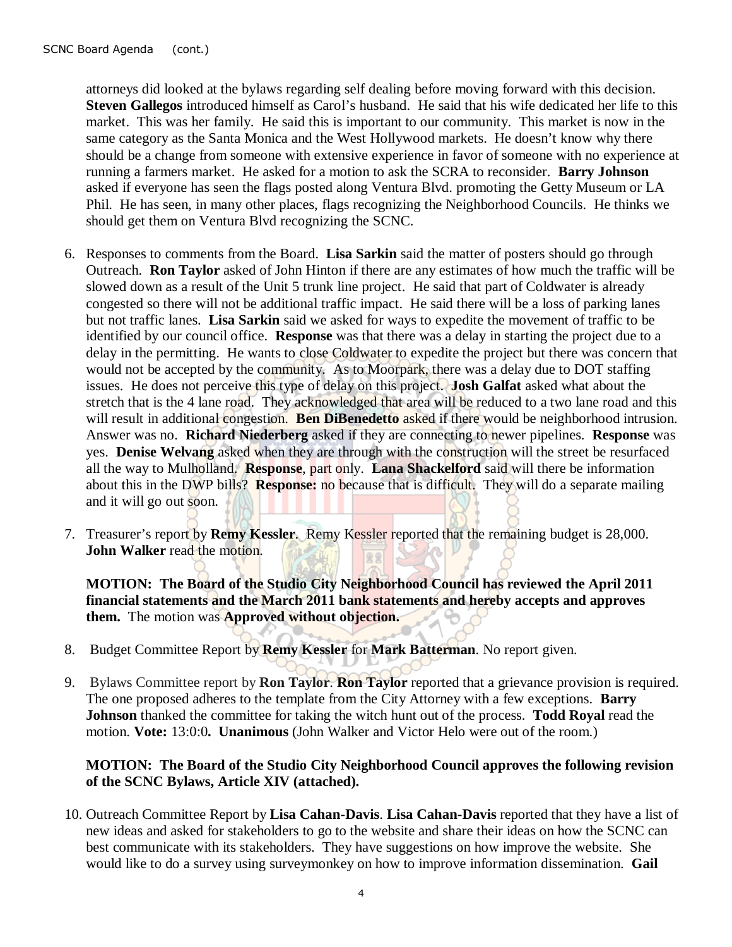attorneys did looked at the bylaws regarding self dealing before moving forward with this decision. **Steven Gallegos** introduced himself as Carol's husband. He said that his wife dedicated her life to this market. This was her family. He said this is important to our community. This market is now in the same category as the Santa Monica and the West Hollywood markets. He doesn't know why there should be a change from someone with extensive experience in favor of someone with no experience at running a farmers market. He asked for a motion to ask the SCRA to reconsider. **Barry Johnson** asked if everyone has seen the flags posted along Ventura Blvd. promoting the Getty Museum or LA Phil. He has seen, in many other places, flags recognizing the Neighborhood Councils. He thinks we should get them on Ventura Blvd recognizing the SCNC.

- 6. Responses to comments from the Board. **Lisa Sarkin** said the matter of posters should go through Outreach. **Ron Taylor** asked of John Hinton if there are any estimates of how much the traffic will be slowed down as a result of the Unit 5 trunk line project. He said that part of Coldwater is already congested so there will not be additional traffic impact. He said there will be a loss of parking lanes but not traffic lanes. **Lisa Sarkin** said we asked for ways to expedite the movement of traffic to be identified by our council office. **Response** was that there was a delay in starting the project due to a delay in the permitting. He wants to close Coldwater to expedite the project but there was concern that would not be accepted by the community. As to Moorpark, there was a delay due to DOT staffing issues. He does not perceive this type of delay on this project. **Josh Galfat** asked what about the stretch that is the 4 lane road. They acknowledged that area will be reduced to a two lane road and this will result in additional congestion. **Ben DiBenedetto** asked if there would be neighborhood intrusion. Answer was no. **Richard Niederberg** asked if they are connecting to newer pipelines. **Response** was yes. **Denise Welvang** asked when they are through with the construction will the street be resurfaced all the way to Mulholland. **Response**, part only. **Lana Shackelford** said will there be information about this in the DWP bills? **Response:** no because that is difficult. They will do a separate mailing and it will go out soon.
- 7. Treasurer's report by **Remy Kessler**. Remy Kessler reported that the remaining budget is 28,000. **John Walker** read the motion.

**MOTION: The Board of the Studio City Neighborhood Council has reviewed the April 2011 financial statements and the March 2011 bank statements and hereby accepts and approves them.** The motion was **Approved without objection.** 

- 8. Budget Committee Report by **Remy Kessler** for **Mark Batterman**. No report given.
- 9. Bylaws Committee report by **Ron Taylor**. **Ron Taylor** reported that a grievance provision is required. The one proposed adheres to the template from the City Attorney with a few exceptions. **Barry Johnson** thanked the committee for taking the witch hunt out of the process. **Todd Royal** read the motion. **Vote:** 13:0:0**. Unanimous** (John Walker and Victor Helo were out of the room.)

#### **MOTION: The Board of the Studio City Neighborhood Council approves the following revision of the SCNC Bylaws, Article XIV (attached).**

10. Outreach Committee Report by **Lisa Cahan-Davis**. **Lisa Cahan-Davis** reported that they have a list of new ideas and asked for stakeholders to go to the website and share their ideas on how the SCNC can best communicate with its stakeholders. They have suggestions on how improve the website. She would like to do a survey using surveymonkey on how to improve information dissemination. **Gail**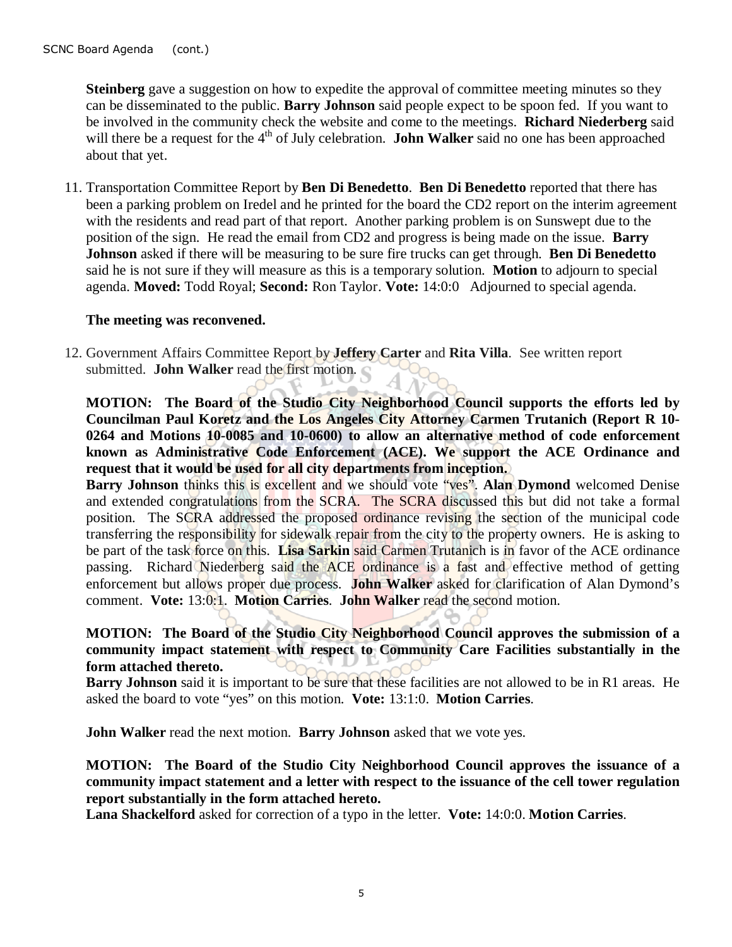**Steinberg** gave a suggestion on how to expedite the approval of committee meeting minutes so they can be disseminated to the public. **Barry Johnson** said people expect to be spoon fed. If you want to be involved in the community check the website and come to the meetings. **Richard Niederberg** said will there be a request for the 4<sup>th</sup> of July celebration. **John Walker** said no one has been approached about that yet.

11. Transportation Committee Report by **Ben Di Benedetto**. **Ben Di Benedetto** reported that there has been a parking problem on Iredel and he printed for the board the CD2 report on the interim agreement with the residents and read part of that report. Another parking problem is on Sunswept due to the position of the sign. He read the email from CD2 and progress is being made on the issue. **Barry Johnson** asked if there will be measuring to be sure fire trucks can get through. **Ben Di Benedetto** said he is not sure if they will measure as this is a temporary solution. **Motion** to adjourn to special agenda. **Moved:** Todd Royal; **Second:** Ron Taylor. **Vote:** 14:0:0 Adjourned to special agenda.

#### **The meeting was reconvened.**

12. Government Affairs Committee Report by **Jeffery Carter** and **Rita Villa**. See written report submitted. **John Walker** read the first motion.

**MOTION: The Board of the Studio City Neighborhood Council supports the efforts led by Councilman Paul Koretz and the Los Angeles City Attorney Carmen Trutanich (Report R 10- 0264 and Motions 10-0085 and 10-0600) to allow an alternative method of code enforcement known as Administrative Code Enforcement (ACE). We support the ACE Ordinance and request that it would be used for all city departments from inception.** 

**Barry Johnson** thinks this is excellent and we should vote "ves". Alan Dymond welcomed Denise and extended congratulations from the SCRA. The SCRA discussed this but did not take a formal position. The SCRA addressed the proposed ordinance revising the section of the municipal code transferring the responsibility for sidewalk repair from the city to the property owners. He is asking to be part of the task force on this. **Lisa Sarkin** said Carmen Trutanich is in favor of the ACE ordinance passing. Richard Niederberg said the ACE ordinance is a fast and effective method of getting enforcement but allows proper due process. **John Walker** asked for clarification of Alan Dymond's comment. **Vote:** 13:0:1. **Motion Carries**. **John Walker** read the second motion.

## **MOTION: The Board of the Studio City Neighborhood Council approves the submission of a community impact statement with respect to Community Care Facilities substantially in the form attached thereto.**

**Barry Johnson** said it is important to be sure that these facilities are not allowed to be in R1 areas. He asked the board to vote "yes" on this motion. **Vote:** 13:1:0. **Motion Carries**.

**John Walker** read the next motion. **Barry Johnson** asked that we vote yes.

**MOTION: The Board of the Studio City Neighborhood Council approves the issuance of a community impact statement and a letter with respect to the issuance of the cell tower regulation report substantially in the form attached hereto.** 

**Lana Shackelford** asked for correction of a typo in the letter. **Vote:** 14:0:0. **Motion Carries**.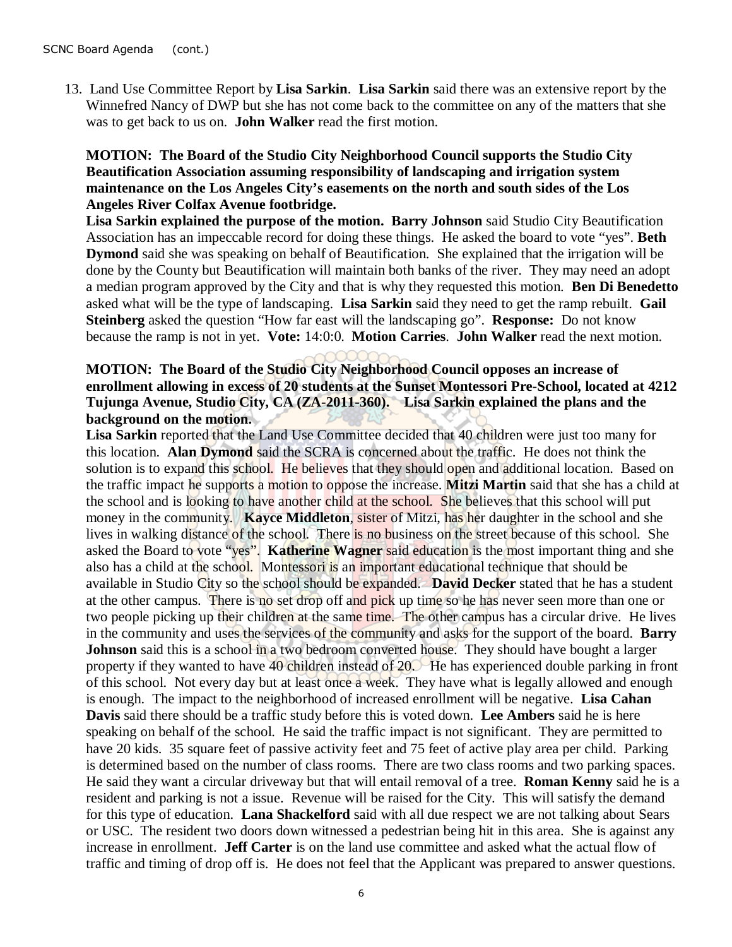13. Land Use Committee Report by **Lisa Sarkin**. **Lisa Sarkin** said there was an extensive report by the Winnefred Nancy of DWP but she has not come back to the committee on any of the matters that she was to get back to us on. **John Walker** read the first motion.

#### **MOTION: The Board of the Studio City Neighborhood Council supports the Studio City Beautification Association assuming responsibility of landscaping and irrigation system maintenance on the Los Angeles City's easements on the north and south sides of the Los Angeles River Colfax Avenue footbridge.**

**Lisa Sarkin explained the purpose of the motion. Barry Johnson** said Studio City Beautification Association has an impeccable record for doing these things. He asked the board to vote "yes". **Beth Dymond** said she was speaking on behalf of Beautification. She explained that the irrigation will be done by the County but Beautification will maintain both banks of the river. They may need an adopt a median program approved by the City and that is why they requested this motion. **Ben Di Benedetto** asked what will be the type of landscaping. **Lisa Sarkin** said they need to get the ramp rebuilt. **Gail Steinberg** asked the question "How far east will the landscaping go". **Response:** Do not know because the ramp is not in yet. **Vote:** 14:0:0. **Motion Carries**. **John Walker** read the next motion.

## **MOTION: The Board of the Studio City Neighborhood Council opposes an increase of enrollment allowing in excess of 20 students at the Sunset Montessori Pre-School, located at 4212 Tujunga Avenue, Studio City, CA (ZA-2011-360). Lisa Sarkin explained the plans and the background on the motion.**

Lisa Sarkin reported that the Land Use Committee decided that 40 children were just too many for this location. **Alan Dymond** said the SCRA is concerned about the traffic. He does not think the solution is to expand this school. He believes that they should open and additional location. Based on the traffic impact he supports a motion to oppose the increase. **Mitzi Martin** said that she has a child at the school and is looking to have another child at the school. She believes that this school will put money in the community. **Kayce Middleton**, sister of Mitzi, has her daughter in the school and she lives in walking distance of the school. There is no business on the street because of this school. She asked the Board to vote "yes". **Katherine Wagner** said education is the most important thing and she also has a child at the school. Montessori is an important educational technique that should be available in Studio City so the school should be expanded. **David Decker** stated that he has a student at the other campus. There is no set drop off and pick up time so he has never seen more than one or two people picking up their children at the same time. The other campus has a circular drive. He lives in the community and uses the services of the community and asks for the support of the board. **Barry Johnson** said this is a school in a two bedroom converted house. They should have bought a larger property if they wanted to have 40 children instead of 20. He has experienced double parking in front of this school. Not every day but at least once a week. They have what is legally allowed and enough is enough. The impact to the neighborhood of increased enrollment will be negative. **Lisa Cahan Davis** said there should be a traffic study before this is voted down. **Lee Ambers** said he is here speaking on behalf of the school. He said the traffic impact is not significant. They are permitted to have 20 kids. 35 square feet of passive activity feet and 75 feet of active play area per child. Parking is determined based on the number of class rooms. There are two class rooms and two parking spaces. He said they want a circular driveway but that will entail removal of a tree. **Roman Kenny** said he is a resident and parking is not a issue. Revenue will be raised for the City. This will satisfy the demand for this type of education. **Lana Shackelford** said with all due respect we are not talking about Sears or USC. The resident two doors down witnessed a pedestrian being hit in this area. She is against any increase in enrollment. **Jeff Carter** is on the land use committee and asked what the actual flow of traffic and timing of drop off is. He does not feel that the Applicant was prepared to answer questions.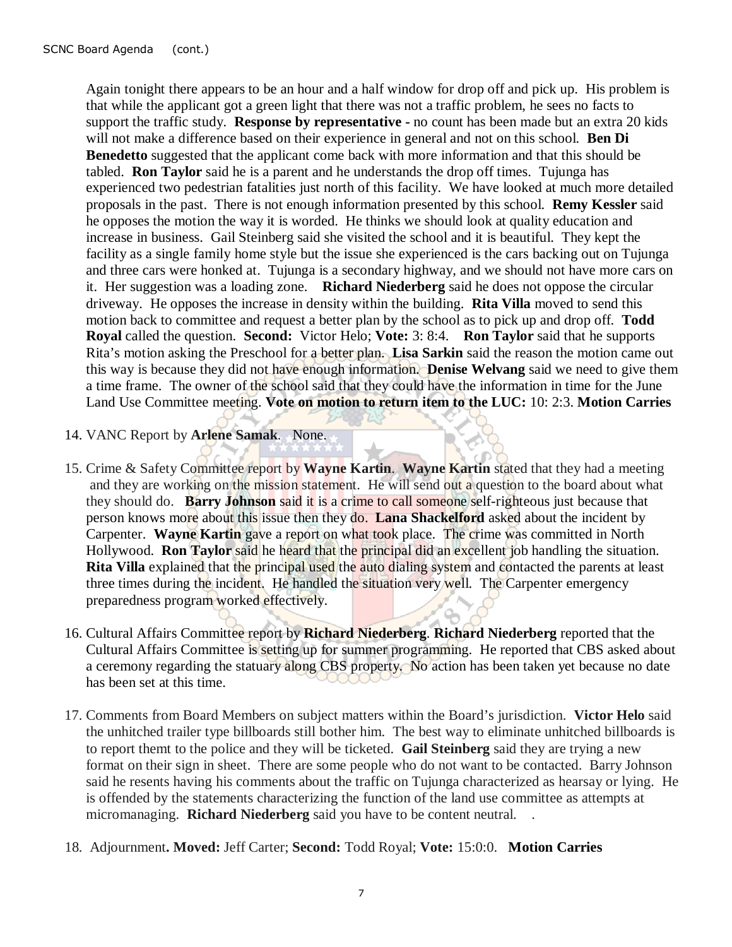Again tonight there appears to be an hour and a half window for drop off and pick up. His problem is that while the applicant got a green light that there was not a traffic problem, he sees no facts to support the traffic study. **Response by representative -** no count has been made but an extra 20 kids will not make a difference based on their experience in general and not on this school. **Ben Di Benedetto** suggested that the applicant come back with more information and that this should be tabled. **Ron Taylor** said he is a parent and he understands the drop off times. Tujunga has experienced two pedestrian fatalities just north of this facility. We have looked at much more detailed proposals in the past. There is not enough information presented by this school. **Remy Kessler** said he opposes the motion the way it is worded. He thinks we should look at quality education and increase in business. Gail Steinberg said she visited the school and it is beautiful. They kept the facility as a single family home style but the issue she experienced is the cars backing out on Tujunga and three cars were honked at. Tujunga is a secondary highway, and we should not have more cars on it. Her suggestion was a loading zone. **Richard Niederberg** said he does not oppose the circular driveway. He opposes the increase in density within the building. **Rita Villa** moved to send this motion back to committee and request a better plan by the school as to pick up and drop off. **Todd Royal** called the question. **Second:** Victor Helo; **Vote:** 3: 8:4. **Ron Taylor** said that he supports Rita's motion asking the Preschool for a better plan. **Lisa Sarkin** said the reason the motion came out this way is because they did not have enough information. **Denise Welvang** said we need to give them a time frame. The owner of the school said that they could have the information in time for the June Land Use Committee meeting. **Vote on motion to return item to the LUC:** 10: 2:3. **Motion Carries** 

- 14. VANC Report by **Arlene Samak**. None.
- 15. Crime & Safety Committee report by **Wayne Kartin**. **Wayne Kartin** stated that they had a meeting and they are working on the mission statement. He will send out a question to the board about what they should do. **Barry Johnson** said it is a crime to call someone self-righteous just because that person knows more about this issue then they do. **Lana Shackelford** asked about the incident by Carpenter. **Wayne Kartin** gave a report on what took place. The crime was committed in North Hollywood. **Ron Taylor** said he heard that the principal did an excellent job handling the situation. **Rita Villa** explained that the principal used the auto dialing system and contacted the parents at least three times during the incident. He handled the situation very well. The Carpenter emergency preparedness program worked effectively.
- 16. Cultural Affairs Committee report by **Richard Niederberg**. **Richard Niederberg** reported that the Cultural Affairs Committee is setting up for summer programming. He reported that CBS asked about a ceremony regarding the statuary along CBS property. No action has been taken yet because no date has been set at this time.
- 17. Comments from Board Members on subject matters within the Board's jurisdiction. **Victor Helo** said the unhitched trailer type billboards still bother him. The best way to eliminate unhitched billboards is to report themt to the police and they will be ticketed. **Gail Steinberg** said they are trying a new format on their sign in sheet. There are some people who do not want to be contacted. Barry Johnson said he resents having his comments about the traffic on Tujunga characterized as hearsay or lying. He is offended by the statements characterizing the function of the land use committee as attempts at micromanaging. **Richard Niederberg** said you have to be content neutral. .
- 18. Adjournment**. Moved:** Jeff Carter; **Second:** Todd Royal; **Vote:** 15:0:0. **Motion Carries**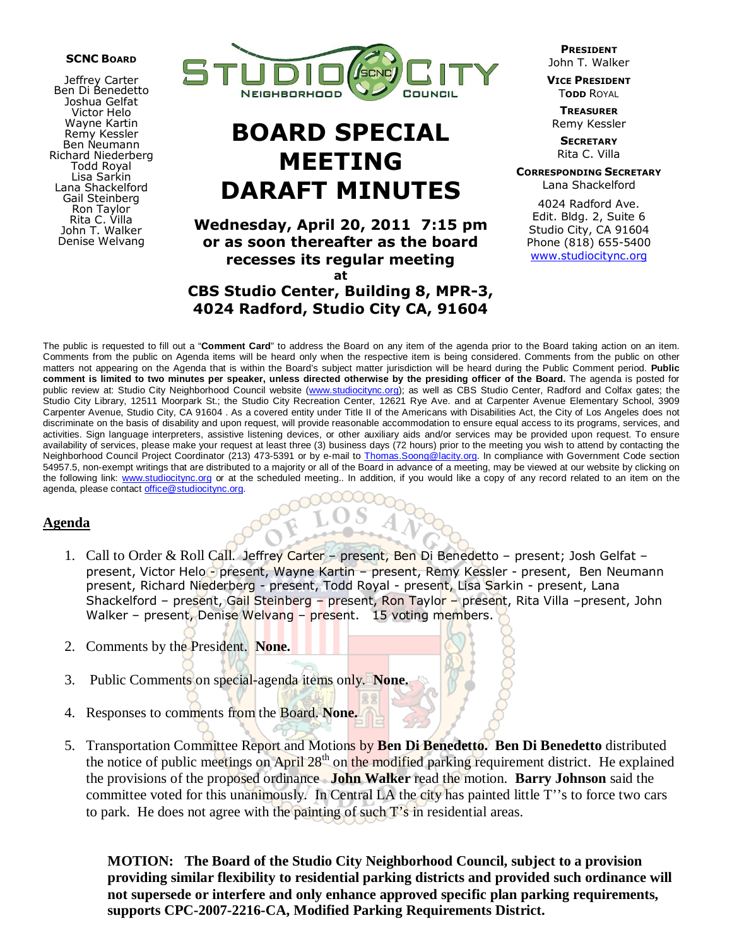#### SCNC BOARD

Jeffrey Carter Ben Di Benedetto Joshua Gelfat Victor Helo Wayne Kartin Remy Kessler Ben Neumann Richard Niederberg Todd Royal Lisa Sarkin Lana Shackelford Gail Steinberg Ron Taylor Rita C. Villa John T. Walker Denise Welvang



# BOARD SPECIAL MEETING DARAFT MINUTES

Wednesday, April 20, 2011 7:15 pm or as soon thereafter as the board recesses its regular meeting at

CBS Studio Center, Building 8, MPR-3, 4024 Radford, Studio City CA, 91604

PRESIDENT John T. Walker

VICE PRESIDENT **TODD ROYAL** 

**TREASURER** Remy Kessler

**SECRETARY** Rita C. Villa

CORRESPONDING SECRETARY Lana Shackelford

4024 Radford Ave. Edit. Bldg. 2, Suite 6 Studio City, CA 91604 Phone (818) 655-5400 www.studiocitync.org

The public is requested to fill out a "**Comment Card**" to address the Board on any item of the agenda prior to the Board taking action on an item. Comments from the public on Agenda items will be heard only when the respective item is being considered. Comments from the public on other matters not appearing on the Agenda that is within the Board's subject matter jurisdiction will be heard during the Public Comment period. **Public comment is limited to two minutes per speaker, unless directed otherwise by the presiding officer of the Board.** The agenda is posted for public review at: Studio City Neighborhood Council website (www.studiocitync.org); as well as CBS Studio Center, Radford and Colfax gates; the Studio City Library, 12511 Moorpark St.; the Studio City Recreation Center, 12621 Rye Ave. and at Carpenter Avenue Elementary School, 3909 Carpenter Avenue, Studio City, CA 91604 . As a covered entity under Title II of the Americans with Disabilities Act, the City of Los Angeles does not discriminate on the basis of disability and upon request, will provide reasonable accommodation to ensure equal access to its programs, services, and activities. Sign language interpreters, assistive listening devices, or other auxiliary aids and/or services may be provided upon request. To ensure availability of services, please make your request at least three (3) business days (72 hours) prior to the meeting you wish to attend by contacting the Neighborhood Council Project Coordinator (213) 473-5391 or by e-mail to *Thomas.Soong@lacity.org*. In compliance with Government Code section 54957.5, non-exempt writings that are distributed to a majority or all of the Board in advance of a meeting, may be viewed at our website by clicking on the following link: www.studiocitync.org or at the scheduled meeting.. In addition, if you would like a copy of any record related to an item on the agenda, please contact office@studiocitync.org.

#### **Agenda**

- 1. Call to Order & Roll Call. Jeffrey Carter present, Ben Di Benedetto present; Josh Gelfat present, Victor Helo - present, Wayne Kartin – present, Remy Kessler - present, Ben Neumann present, Richard Niederberg - present, Todd Royal - present, Lisa Sarkin - present, Lana Shackelford – present, Gail Steinberg – present, Ron Taylor – present, Rita Villa – present, John Walker – present, Denise Welvang – present. 15 voting members.
- 2. Comments by the President. **None.**
- 3. Public Comments on special-agenda items only. **None.**
- 4. Responses to comments from the Board. **None.**
- 5. Transportation Committee Report and Motions by **Ben Di Benedetto. Ben Di Benedetto** distributed the notice of public meetings on April 28<sup>th</sup> on the modified parking requirement district. He explained the provisions of the proposed ordinance **John Walker** read the motion. **Barry Johnson** said the committee voted for this unanimously. In Central LA the city has painted little T''s to force two cars to park. He does not agree with the painting of such T's in residential areas.

**MOTION: The Board of the Studio City Neighborhood Council, subject to a provision providing similar flexibility to residential parking districts and provided such ordinance will not supersede or interfere and only enhance approved specific plan parking requirements, supports CPC-2007-2216-CA, Modified Parking Requirements District.**